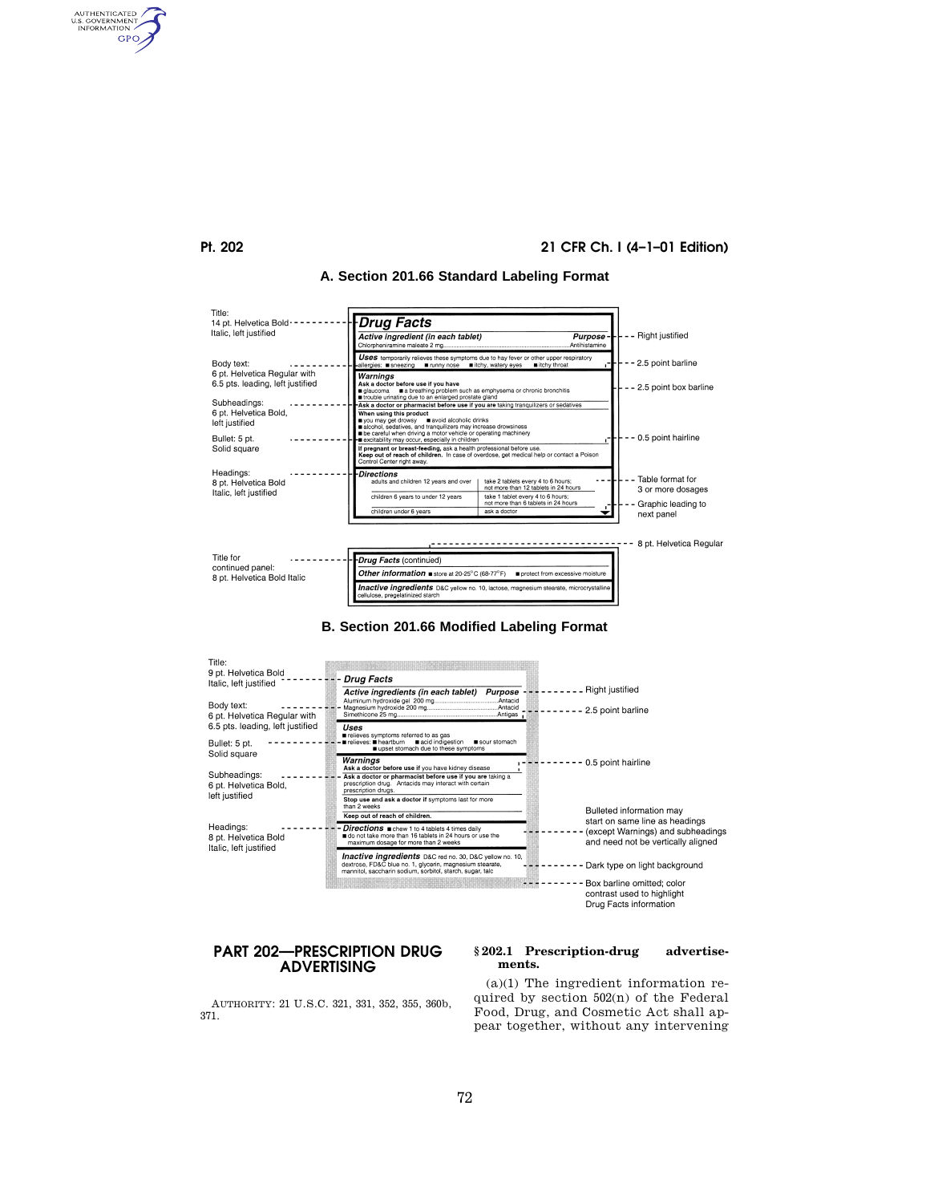AUTHENTICATED<br>U.S. GOVERNMENT<br>INFORMATION **GPO** 

# **Pt. 202 21 CFR Ch. I (4–1–01 Edition)**

## **A. Section 201.66 Standard Labeling Format**



**B. Section 201.66 Modified Labeling Format**



# **PART 202—PRESCRIPTION DRUG ADVERTISING**

AUTHORITY: 21 U.S.C. 321, 331, 352, 355, 360b, 371.

## **§ 202.1 Prescription-drug advertisements.**

(a)(1) The ingredient information required by section 502(n) of the Federal Food, Drug, and Cosmetic Act shall appear together, without any intervening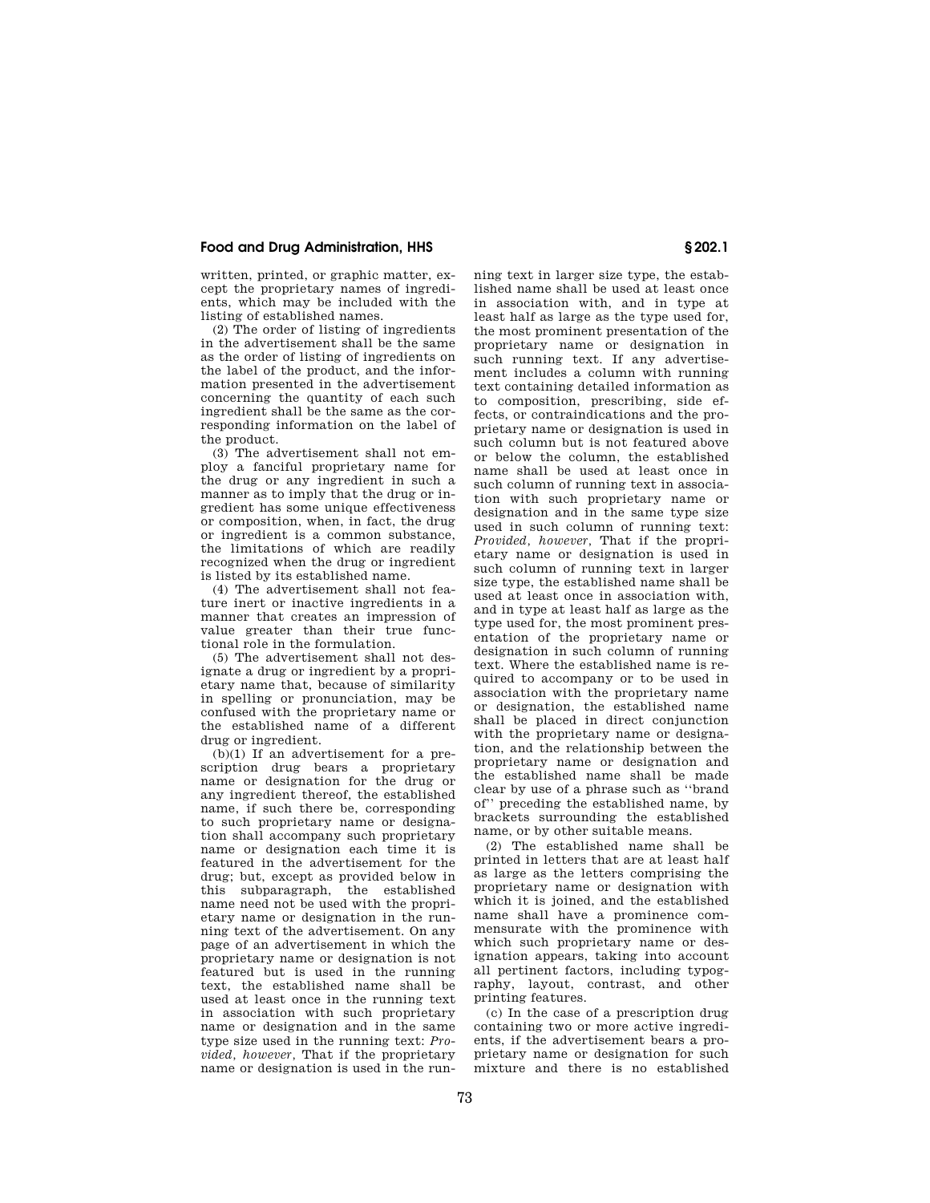written, printed, or graphic matter, except the proprietary names of ingredients, which may be included with the listing of established names.

(2) The order of listing of ingredients in the advertisement shall be the same as the order of listing of ingredients on the label of the product, and the information presented in the advertisement concerning the quantity of each such ingredient shall be the same as the corresponding information on the label of the product.

(3) The advertisement shall not employ a fanciful proprietary name for the drug or any ingredient in such a manner as to imply that the drug or ingredient has some unique effectiveness or composition, when, in fact, the drug or ingredient is a common substance, the limitations of which are readily recognized when the drug or ingredient is listed by its established name.

(4) The advertisement shall not feature inert or inactive ingredients in a manner that creates an impression of value greater than their true functional role in the formulation.

(5) The advertisement shall not designate a drug or ingredient by a proprietary name that, because of similarity in spelling or pronunciation, may be confused with the proprietary name or the established name of a different drug or ingredient.

(b)(1) If an advertisement for a prescription drug bears a proprietary name or designation for the drug or any ingredient thereof, the established name, if such there be, corresponding to such proprietary name or designation shall accompany such proprietary name or designation each time it is featured in the advertisement for the drug; but, except as provided below in this subparagraph, the established name need not be used with the proprietary name or designation in the running text of the advertisement. On any page of an advertisement in which the proprietary name or designation is not featured but is used in the running text, the established name shall be used at least once in the running text in association with such proprietary name or designation and in the same type size used in the running text: *Provided, however,* That if the proprietary name or designation is used in the running text in larger size type, the established name shall be used at least once in association with, and in type at least half as large as the type used for, the most prominent presentation of the proprietary name or designation in such running text. If any advertisement includes a column with running text containing detailed information as to composition, prescribing, side effects, or contraindications and the proprietary name or designation is used in such column but is not featured above or below the column, the established name shall be used at least once in such column of running text in association with such proprietary name or designation and in the same type size used in such column of running text: *Provided, however,* That if the proprietary name or designation is used in such column of running text in larger size type, the established name shall be used at least once in association with, and in type at least half as large as the type used for, the most prominent presentation of the proprietary name or designation in such column of running text. Where the established name is required to accompany or to be used in association with the proprietary name or designation, the established name shall be placed in direct conjunction with the proprietary name or designation, and the relationship between the proprietary name or designation and the established name shall be made clear by use of a phrase such as ''brand of'' preceding the established name, by brackets surrounding the established name, or by other suitable means.

(2) The established name shall be printed in letters that are at least half as large as the letters comprising the proprietary name or designation with which it is joined, and the established name shall have a prominence commensurate with the prominence with which such proprietary name or designation appears, taking into account all pertinent factors, including typography, layout, contrast, and other printing features.

(c) In the case of a prescription drug containing two or more active ingredients, if the advertisement bears a proprietary name or designation for such mixture and there is no established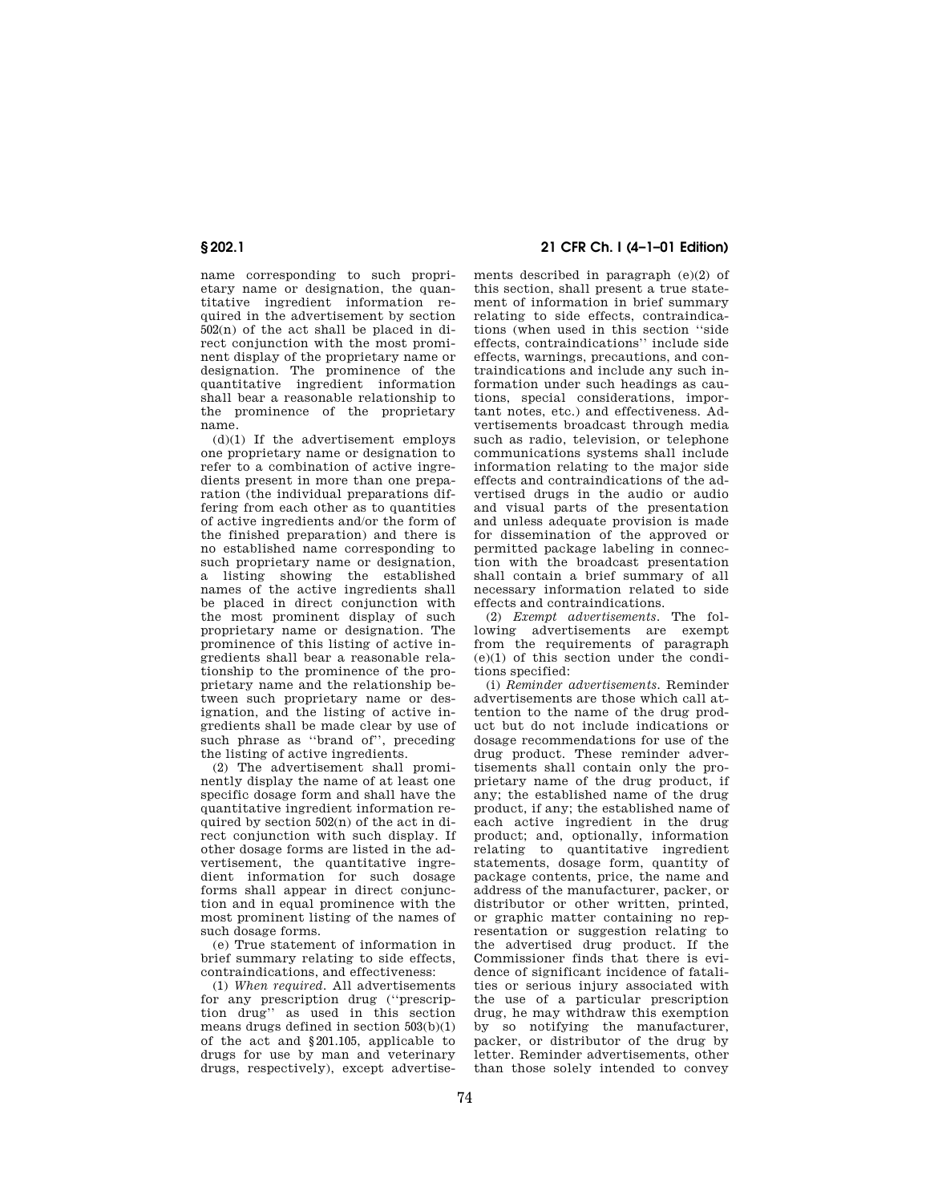name corresponding to such proprietary name or designation, the quantitative ingredient information required in the advertisement by section 502(n) of the act shall be placed in direct conjunction with the most prominent display of the proprietary name or designation. The prominence of the quantitative ingredient information shall bear a reasonable relationship to the prominence of the proprietary name.

(d)(1) If the advertisement employs one proprietary name or designation to refer to a combination of active ingredients present in more than one preparation (the individual preparations differing from each other as to quantities of active ingredients and/or the form of the finished preparation) and there is no established name corresponding to such proprietary name or designation, a listing showing the established names of the active ingredients shall be placed in direct conjunction with the most prominent display of such proprietary name or designation. The prominence of this listing of active ingredients shall bear a reasonable relationship to the prominence of the proprietary name and the relationship between such proprietary name or designation, and the listing of active ingredients shall be made clear by use of such phrase as "brand of", preceding the listing of active ingredients.

(2) The advertisement shall prominently display the name of at least one specific dosage form and shall have the quantitative ingredient information required by section 502(n) of the act in direct conjunction with such display. If other dosage forms are listed in the advertisement, the quantitative ingredient information for such dosage forms shall appear in direct conjunction and in equal prominence with the most prominent listing of the names of such dosage forms.

(e) True statement of information in brief summary relating to side effects, contraindications, and effectiveness:

(1) *When required.* All advertisements for any prescription drug (''prescription drug'' as used in this section means drugs defined in section 503(b)(1) of the act and § 201.105, applicable to drugs for use by man and veterinary drugs, respectively), except advertise-

# **§ 202.1 21 CFR Ch. I (4–1–01 Edition)**

ments described in paragraph (e)(2) of this section, shall present a true statement of information in brief summary relating to side effects, contraindications (when used in this section ''side effects, contraindications'' include side effects, warnings, precautions, and contraindications and include any such information under such headings as cautions, special considerations, important notes, etc.) and effectiveness. Advertisements broadcast through media such as radio, television, or telephone communications systems shall include information relating to the major side effects and contraindications of the advertised drugs in the audio or audio and visual parts of the presentation and unless adequate provision is made for dissemination of the approved or permitted package labeling in connection with the broadcast presentation shall contain a brief summary of all necessary information related to side effects and contraindications.

(2) *Exempt advertisements.* The following advertisements are exempt from the requirements of paragraph (e)(1) of this section under the conditions specified:

(i) *Reminder advertisements.* Reminder advertisements are those which call attention to the name of the drug product but do not include indications or dosage recommendations for use of the drug product. These reminder advertisements shall contain only the proprietary name of the drug product, if any; the established name of the drug product, if any; the established name of each active ingredient in the drug product; and, optionally, information relating to quantitative ingredient statements, dosage form, quantity of package contents, price, the name and address of the manufacturer, packer, or distributor or other written, printed, or graphic matter containing no representation or suggestion relating to the advertised drug product. If the Commissioner finds that there is evidence of significant incidence of fatalities or serious injury associated with the use of a particular prescription drug, he may withdraw this exemption by so notifying the manufacturer, packer, or distributor of the drug by letter. Reminder advertisements, other than those solely intended to convey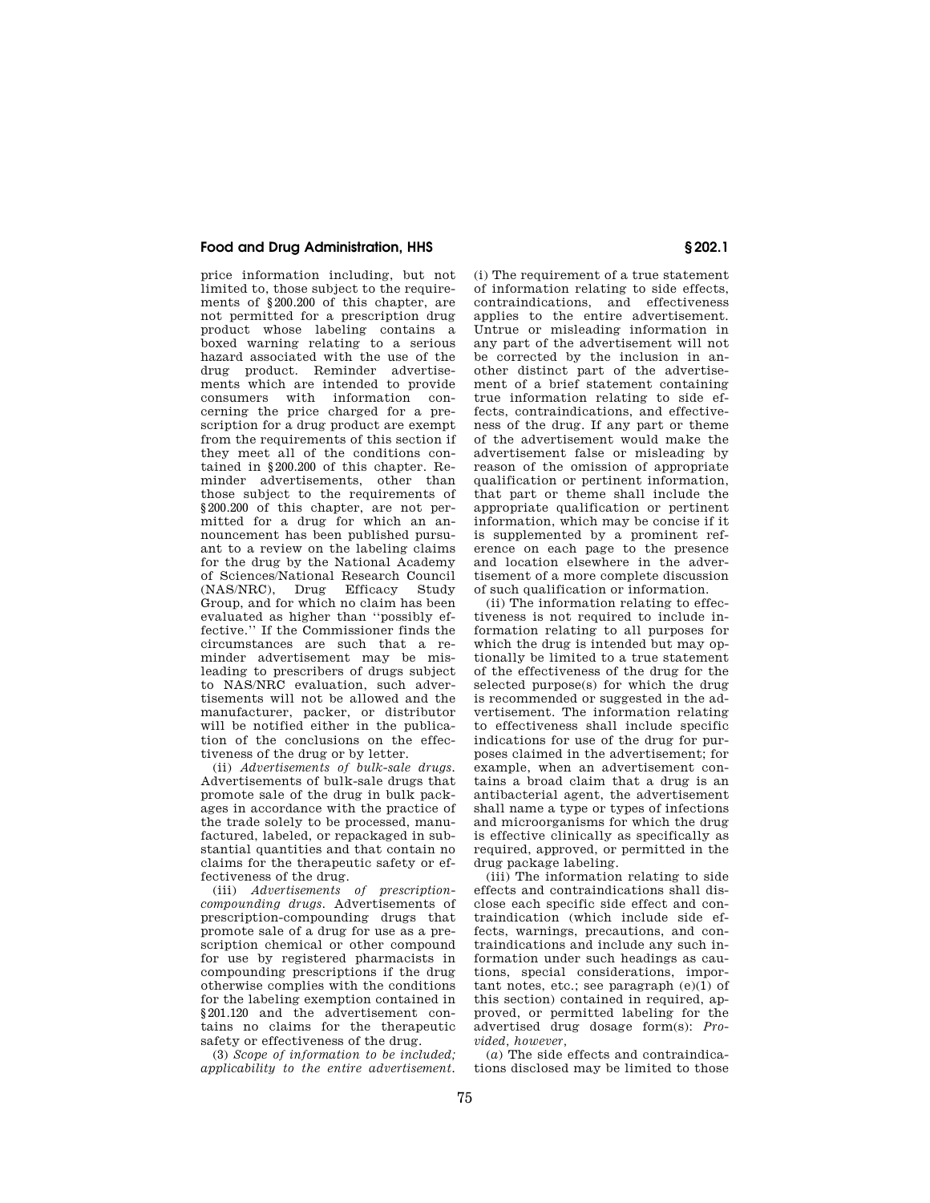price information including, but not limited to, those subject to the requirements of § 200.200 of this chapter, are not permitted for a prescription drug product whose labeling contains a boxed warning relating to a serious hazard associated with the use of the drug product. Reminder advertisements which are intended to provide consumers with information concerning the price charged for a prescription for a drug product are exempt from the requirements of this section if they meet all of the conditions contained in § 200.200 of this chapter. Reminder advertisements, other than those subject to the requirements of § 200.200 of this chapter, are not permitted for a drug for which an announcement has been published pursuant to a review on the labeling claims for the drug by the National Academy of Sciences/National Research Council (NAS/NRC), Drug Efficacy Study Group, and for which no claim has been evaluated as higher than ''possibly effective.'' If the Commissioner finds the circumstances are such that a reminder advertisement may be misleading to prescribers of drugs subject to NAS/NRC evaluation, such advertisements will not be allowed and the manufacturer, packer, or distributor will be notified either in the publication of the conclusions on the effectiveness of the drug or by letter.

(ii) *Advertisements of bulk-sale drugs.* Advertisements of bulk-sale drugs that promote sale of the drug in bulk packages in accordance with the practice of the trade solely to be processed, manufactured, labeled, or repackaged in substantial quantities and that contain no claims for the therapeutic safety or effectiveness of the drug.

(iii) *Advertisements of prescriptioncompounding drugs.* Advertisements of prescription-compounding drugs that promote sale of a drug for use as a prescription chemical or other compound for use by registered pharmacists in compounding prescriptions if the drug otherwise complies with the conditions for the labeling exemption contained in § 201.120 and the advertisement contains no claims for the therapeutic safety or effectiveness of the drug.

(3) *Scope of information to be included; applicability to the entire advertisement.* (i) The requirement of a true statement of information relating to side effects, contraindications, and effectiveness applies to the entire advertisement. Untrue or misleading information in any part of the advertisement will not be corrected by the inclusion in another distinct part of the advertisement of a brief statement containing true information relating to side effects, contraindications, and effectiveness of the drug. If any part or theme of the advertisement would make the advertisement false or misleading by reason of the omission of appropriate qualification or pertinent information, that part or theme shall include the appropriate qualification or pertinent information, which may be concise if it is supplemented by a prominent reference on each page to the presence and location elsewhere in the advertisement of a more complete discussion of such qualification or information.

(ii) The information relating to effectiveness is not required to include information relating to all purposes for which the drug is intended but may optionally be limited to a true statement of the effectiveness of the drug for the selected purpose(s) for which the drug is recommended or suggested in the advertisement. The information relating to effectiveness shall include specific indications for use of the drug for purposes claimed in the advertisement; for example, when an advertisement contains a broad claim that a drug is an antibacterial agent, the advertisement shall name a type or types of infections and microorganisms for which the drug is effective clinically as specifically as required, approved, or permitted in the drug package labeling.

(iii) The information relating to side effects and contraindications shall disclose each specific side effect and contraindication (which include side effects, warnings, precautions, and contraindications and include any such information under such headings as cautions, special considerations, important notes, etc.; see paragraph  $(e)(1)$  of this section) contained in required, approved, or permitted labeling for the advertised drug dosage form(s): *Provided, however,*

(*a*) The side effects and contraindications disclosed may be limited to those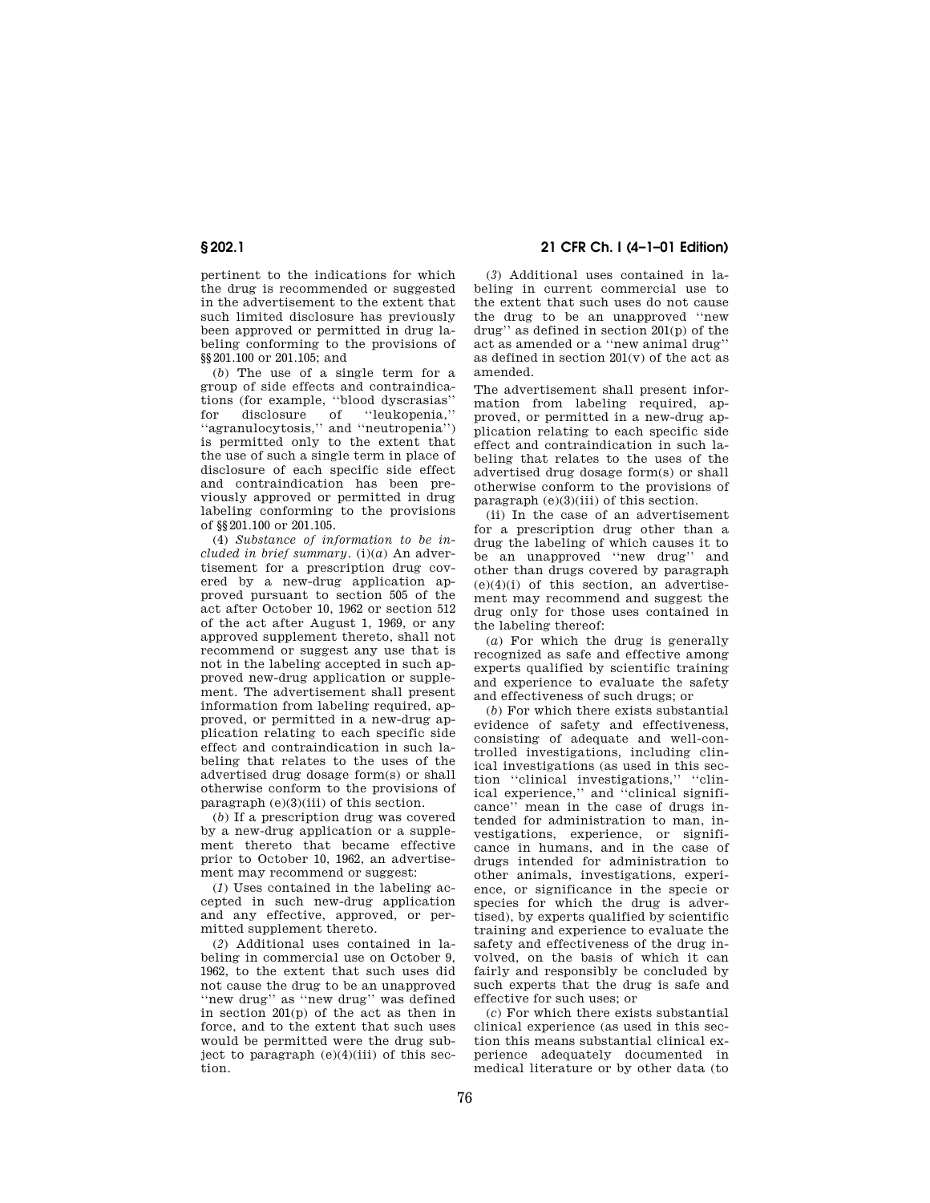pertinent to the indications for which the drug is recommended or suggested in the advertisement to the extent that such limited disclosure has previously been approved or permitted in drug labeling conforming to the provisions of §§ 201.100 or 201.105; and

(*b*) The use of a single term for a group of side effects and contraindications (for example, "blood dyscrasias")<br>for disclosure of "leukopenia," for disclosure of ''agranulocytosis,'' and ''neutropenia'') is permitted only to the extent that the use of such a single term in place of disclosure of each specific side effect and contraindication has been previously approved or permitted in drug labeling conforming to the provisions of §§ 201.100 or 201.105.

(4) *Substance of information to be included in brief summary.*  $(i)(a)$  An advertisement for a prescription drug covered by a new-drug application approved pursuant to section 505 of the act after October 10, 1962 or section 512 of the act after August 1, 1969, or any approved supplement thereto, shall not recommend or suggest any use that is not in the labeling accepted in such approved new-drug application or supplement. The advertisement shall present information from labeling required, approved, or permitted in a new-drug application relating to each specific side effect and contraindication in such labeling that relates to the uses of the advertised drug dosage form(s) or shall otherwise conform to the provisions of paragraph (e)(3)(iii) of this section.

(*b*) If a prescription drug was covered by a new-drug application or a supplement thereto that became effective prior to October 10, 1962, an advertisement may recommend or suggest:

(*1*) Uses contained in the labeling accepted in such new-drug application and any effective, approved, or permitted supplement thereto.

(*2*) Additional uses contained in labeling in commercial use on October 9, 1962, to the extent that such uses did not cause the drug to be an unapproved ''new drug'' as ''new drug'' was defined in section 201(p) of the act as then in force, and to the extent that such uses would be permitted were the drug subject to paragraph  $(e)(4)(iii)$  of this section.

**§ 202.1 21 CFR Ch. I (4–1–01 Edition)**

(*3*) Additional uses contained in labeling in current commercial use to the extent that such uses do not cause the drug to be an unapproved ''new drug'' as defined in section 201(p) of the act as amended or a ''new animal drug'' as defined in section  $201(v)$  of the act as amended.

The advertisement shall present information from labeling required, approved, or permitted in a new-drug application relating to each specific side effect and contraindication in such labeling that relates to the uses of the advertised drug dosage form(s) or shall otherwise conform to the provisions of paragraph (e)(3)(iii) of this section.

(ii) In the case of an advertisement for a prescription drug other than a drug the labeling of which causes it to be an unapproved ''new drug'' and other than drugs covered by paragraph  $(e)(4)(i)$  of this section, an advertisement may recommend and suggest the drug only for those uses contained in the labeling thereof:

(*a*) For which the drug is generally recognized as safe and effective among experts qualified by scientific training and experience to evaluate the safety and effectiveness of such drugs; or

(*b*) For which there exists substantial evidence of safety and effectiveness, consisting of adequate and well-controlled investigations, including clinical investigations (as used in this section ''clinical investigations,'' ''clinical experience,'' and ''clinical significance" mean in the case of drugs intended for administration to man, investigations, experience, or significance in humans, and in the case of drugs intended for administration to other animals, investigations, experience, or significance in the specie or species for which the drug is advertised), by experts qualified by scientific training and experience to evaluate the safety and effectiveness of the drug involved, on the basis of which it can fairly and responsibly be concluded by such experts that the drug is safe and effective for such uses; or

(*c*) For which there exists substantial clinical experience (as used in this section this means substantial clinical experience adequately documented in medical literature or by other data (to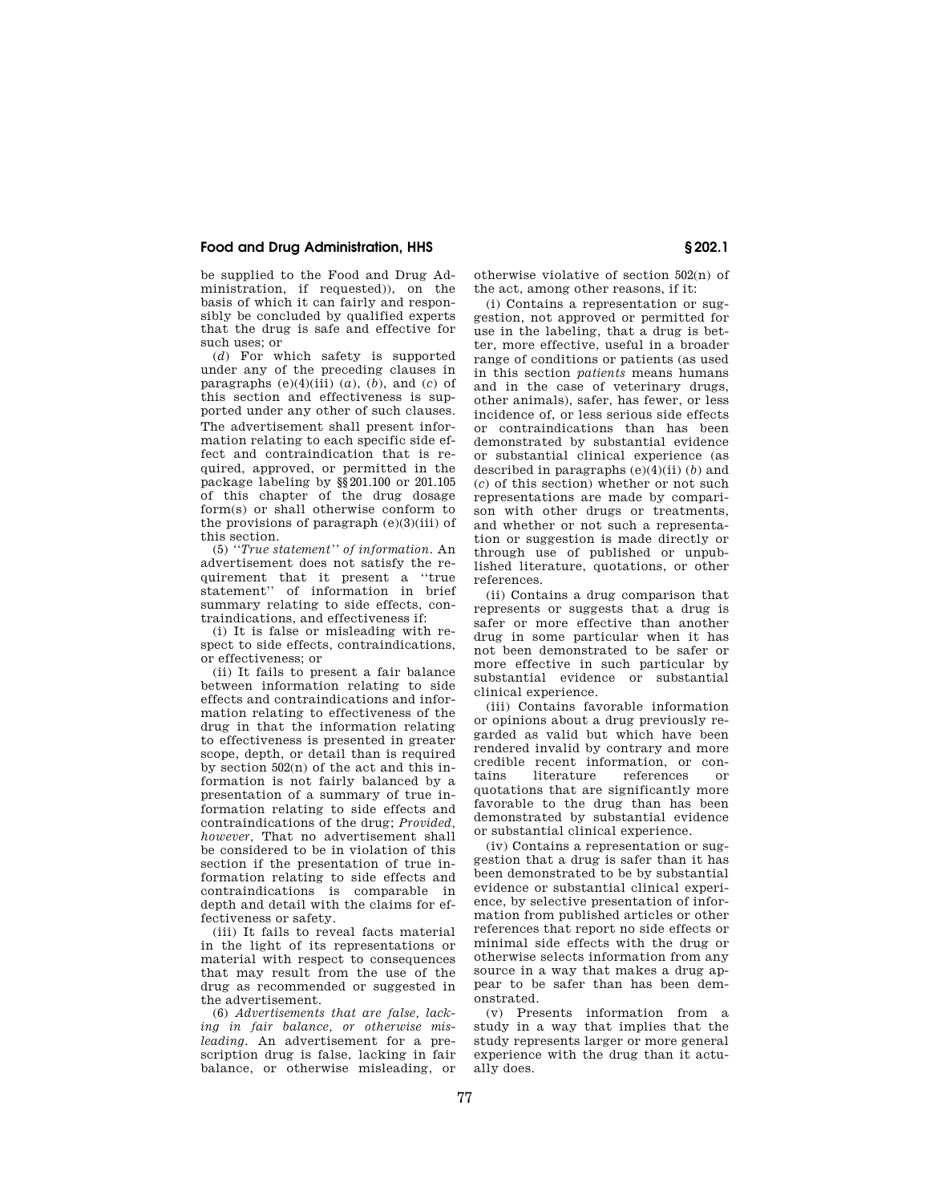be supplied to the Food and Drug Administration, if requested)), on the basis of which it can fairly and responsibly be concluded by qualified experts that the drug is safe and effective for such uses; or

(*d*) For which safety is supported under any of the preceding clauses in paragraphs  $(e)(4)(iii)$   $(a)$ ,  $(b)$ , and  $(c)$  of this section and effectiveness is supported under any other of such clauses. The advertisement shall present information relating to each specific side effect and contraindication that is required, approved, or permitted in the package labeling by §§ 201.100 or 201.105 of this chapter of the drug dosage form(s) or shall otherwise conform to the provisions of paragraph (e)(3)(iii) of this section.

(5) *''True statement'' of information.* An advertisement does not satisfy the requirement that it present a ''true statement'' of information in brief summary relating to side effects, contraindications, and effectiveness if:

(i) It is false or misleading with respect to side effects, contraindications, or effectiveness; or

(ii) It fails to present a fair balance between information relating to side effects and contraindications and information relating to effectiveness of the drug in that the information relating to effectiveness is presented in greater scope, depth, or detail than is required by section 502(n) of the act and this information is not fairly balanced by a presentation of a summary of true information relating to side effects and contraindications of the drug; *Provided, however,* That no advertisement shall be considered to be in violation of this section if the presentation of true information relating to side effects and contraindications is comparable in depth and detail with the claims for effectiveness or safety.

(iii) It fails to reveal facts material in the light of its representations or material with respect to consequences that may result from the use of the drug as recommended or suggested in the advertisement.

(6) *Advertisements that are false, lacking in fair balance, or otherwise misleading* An advertisement for a prescription drug is false, lacking in fair balance, or otherwise misleading, or

otherwise violative of section 502(n) of the act, among other reasons, if it:

(i) Contains a representation or suggestion, not approved or permitted for use in the labeling, that a drug is better, more effective, useful in a broader range of conditions or patients (as used in this section *patients* means humans and in the case of veterinary drugs, other animals), safer, has fewer, or less incidence of, or less serious side effects or contraindications than has been demonstrated by substantial evidence or substantial clinical experience (as described in paragraphs (e)(4)(ii) (*b*) and (*c*) of this section) whether or not such representations are made by comparison with other drugs or treatments, and whether or not such a representation or suggestion is made directly or through use of published or unpublished literature, quotations, or other references.

(ii) Contains a drug comparison that represents or suggests that a drug is safer or more effective than another drug in some particular when it has not been demonstrated to be safer or more effective in such particular by substantial evidence or substantial clinical experience.

(iii) Contains favorable information or opinions about a drug previously regarded as valid but which have been rendered invalid by contrary and more credible recent information, or contains literature references or quotations that are significantly more favorable to the drug than has been demonstrated by substantial evidence or substantial clinical experience.

(iv) Contains a representation or suggestion that a drug is safer than it has been demonstrated to be by substantial evidence or substantial clinical experience, by selective presentation of information from published articles or other references that report no side effects or minimal side effects with the drug or otherwise selects information from any source in a way that makes a drug appear to be safer than has been demonstrated.

(v) Presents information from a study in a way that implies that the study represents larger or more general experience with the drug than it actually does.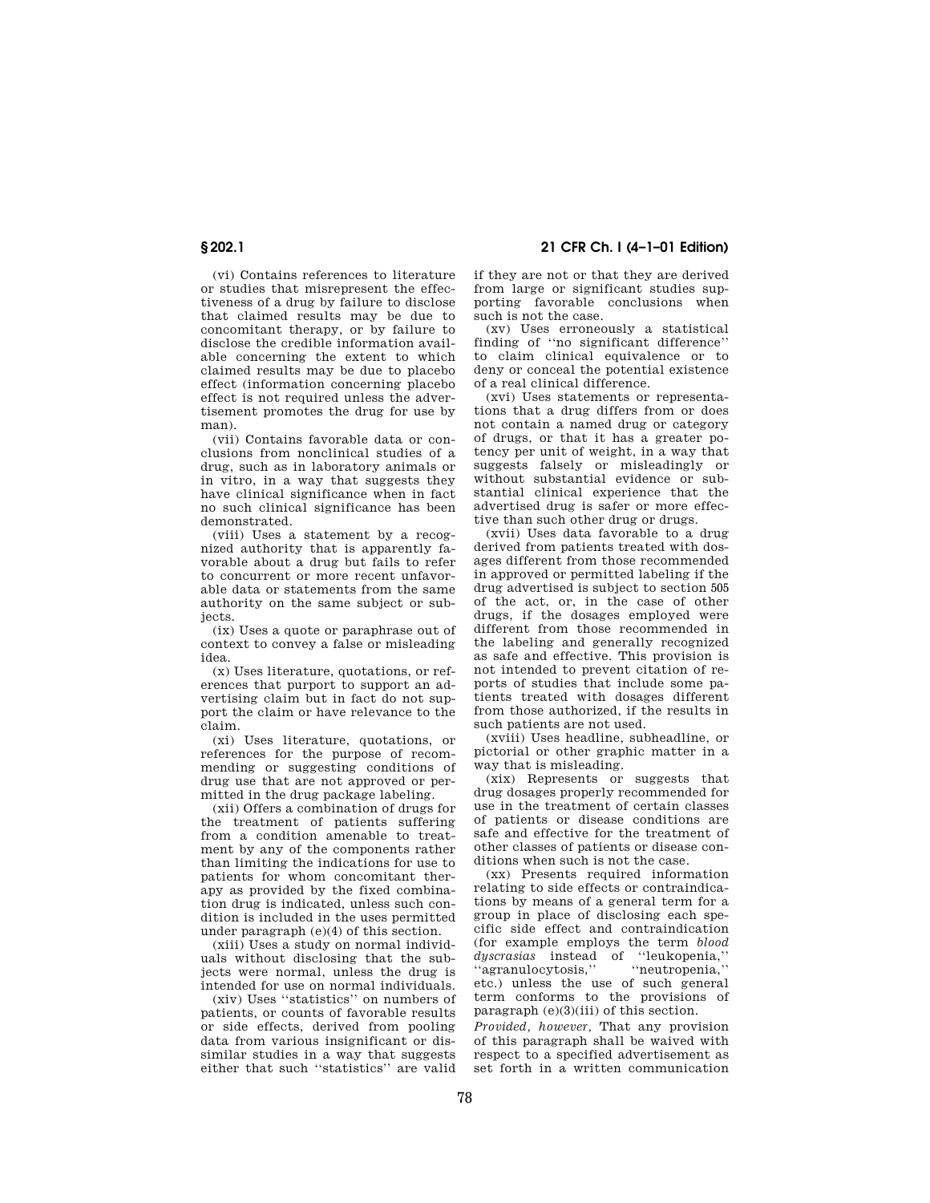# **§ 202.1 21 CFR Ch. I (4–1–01 Edition)**

(vi) Contains references to literature or studies that misrepresent the effectiveness of a drug by failure to disclose that claimed results may be due to concomitant therapy, or by failure to disclose the credible information available concerning the extent to which claimed results may be due to placebo effect (information concerning placebo effect is not required unless the advertisement promotes the drug for use by man).

(vii) Contains favorable data or conclusions from nonclinical studies of a drug, such as in laboratory animals or in vitro, in a way that suggests they have clinical significance when in fact no such clinical significance has been demonstrated.

(viii) Uses a statement by a recognized authority that is apparently favorable about a drug but fails to refer to concurrent or more recent unfavorable data or statements from the same authority on the same subject or subjects.

(ix) Uses a quote or paraphrase out of context to convey a false or misleading idea.

(x) Uses literature, quotations, or references that purport to support an advertising claim but in fact do not support the claim or have relevance to the claim.

(xi) Uses literature, quotations, or references for the purpose of recommending or suggesting conditions of drug use that are not approved or permitted in the drug package labeling.

(xii) Offers a combination of drugs for the treatment of patients suffering from a condition amenable to treatment by any of the components rather than limiting the indications for use to patients for whom concomitant therapy as provided by the fixed combination drug is indicated, unless such condition is included in the uses permitted under paragraph (e)(4) of this section.

(xiii) Uses a study on normal individuals without disclosing that the subjects were normal, unless the drug is intended for use on normal individuals.

(xiv) Uses ''statistics'' on numbers of patients, or counts of favorable results or side effects, derived from pooling data from various insignificant or dissimilar studies in a way that suggests either that such ''statistics'' are valid

if they are not or that they are derived from large or significant studies supporting favorable conclusions when such is not the case.

(xv) Uses erroneously a statistical finding of ''no significant difference'' to claim clinical equivalence or to deny or conceal the potential existence of a real clinical difference.

(xvi) Uses statements or representations that a drug differs from or does not contain a named drug or category of drugs, or that it has a greater potency per unit of weight, in a way that suggests falsely or misleadingly or without substantial evidence or substantial clinical experience that the advertised drug is safer or more effective than such other drug or drugs.

(xvii) Uses data favorable to a drug derived from patients treated with dosages different from those recommended in approved or permitted labeling if the drug advertised is subject to section 505 of the act, or, in the case of other drugs, if the dosages employed were different from those recommended in the labeling and generally recognized as safe and effective. This provision is not intended to prevent citation of reports of studies that include some patients treated with dosages different from those authorized, if the results in such patients are not used.

(xviii) Uses headline, subheadline, or pictorial or other graphic matter in a way that is misleading.

(xix) Represents or suggests that drug dosages properly recommended for use in the treatment of certain classes of patients or disease conditions are safe and effective for the treatment of other classes of patients or disease conditions when such is not the case.

(xx) Presents required information relating to side effects or contraindications by means of a general term for a group in place of disclosing each specific side effect and contraindication (for example employs the term *blood* dyscrasias instead of "leukopenia,"<br>"agranulocytosis," "neutropenia," "agranulocytosis," etc.) unless the use of such general term conforms to the provisions of paragraph (e)(3)(iii) of this section.

*Provided, however,* That any provision of this paragraph shall be waived with respect to a specified advertisement as set forth in a written communication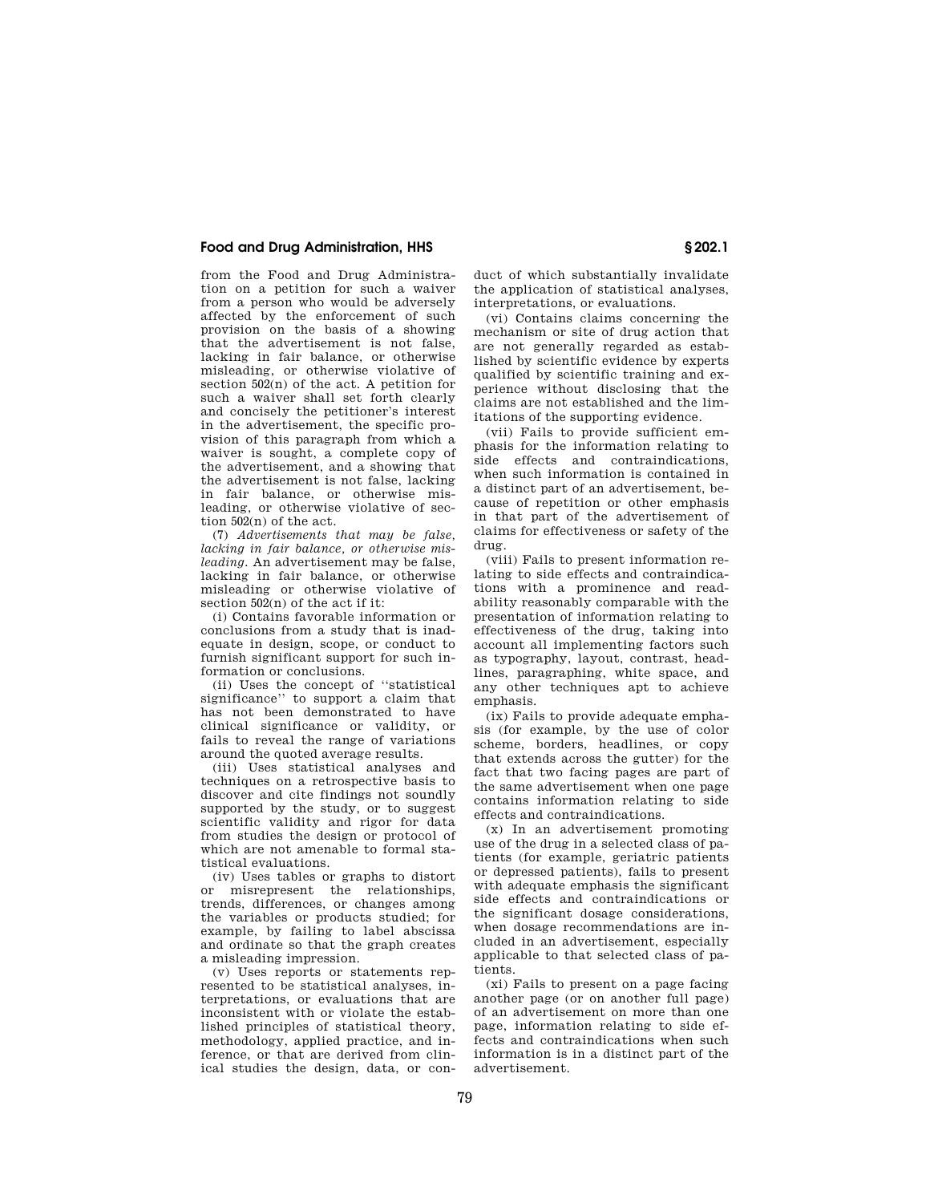from the Food and Drug Administration on a petition for such a waiver from a person who would be adversely affected by the enforcement of such provision on the basis of a showing that the advertisement is not false, lacking in fair balance, or otherwise misleading, or otherwise violative of section 502(n) of the act. A petition for such a waiver shall set forth clearly and concisely the petitioner's interest in the advertisement, the specific provision of this paragraph from which a waiver is sought, a complete copy of the advertisement, and a showing that the advertisement is not false, lacking in fair balance, or otherwise misleading, or otherwise violative of section 502(n) of the act.

(7) *Advertisements that may be false, lacking in fair balance, or otherwise misleading.* An advertisement may be false, lacking in fair balance, or otherwise misleading or otherwise violative of section  $502(n)$  of the act if it:

(i) Contains favorable information or conclusions from a study that is inadequate in design, scope, or conduct to furnish significant support for such information or conclusions.

(ii) Uses the concept of ''statistical significance'' to support a claim that has not been demonstrated to have clinical significance or validity, or fails to reveal the range of variations around the quoted average results.

(iii) Uses statistical analyses and techniques on a retrospective basis to discover and cite findings not soundly supported by the study, or to suggest scientific validity and rigor for data from studies the design or protocol of which are not amenable to formal statistical evaluations.

(iv) Uses tables or graphs to distort or misrepresent the relationships, trends, differences, or changes among the variables or products studied; for example, by failing to label abscissa and ordinate so that the graph creates a misleading impression.

(v) Uses reports or statements represented to be statistical analyses, interpretations, or evaluations that are inconsistent with or violate the established principles of statistical theory, methodology, applied practice, and inference, or that are derived from clinical studies the design, data, or con-

duct of which substantially invalidate the application of statistical analyses, interpretations, or evaluations.

(vi) Contains claims concerning the mechanism or site of drug action that are not generally regarded as established by scientific evidence by experts qualified by scientific training and experience without disclosing that the claims are not established and the limitations of the supporting evidence.

(vii) Fails to provide sufficient emphasis for the information relating to side effects and contraindications, when such information is contained in a distinct part of an advertisement, because of repetition or other emphasis in that part of the advertisement of claims for effectiveness or safety of the drug.

(viii) Fails to present information relating to side effects and contraindications with a prominence and readability reasonably comparable with the presentation of information relating to effectiveness of the drug, taking into account all implementing factors such as typography, layout, contrast, headlines, paragraphing, white space, and any other techniques apt to achieve emphasis.

(ix) Fails to provide adequate emphasis (for example, by the use of color scheme, borders, headlines, or copy that extends across the gutter) for the fact that two facing pages are part of the same advertisement when one page contains information relating to side effects and contraindications.

(x) In an advertisement promoting use of the drug in a selected class of patients (for example, geriatric patients or depressed patients), fails to present with adequate emphasis the significant side effects and contraindications or the significant dosage considerations, when dosage recommendations are included in an advertisement, especially applicable to that selected class of patients.

(xi) Fails to present on a page facing another page (or on another full page) of an advertisement on more than one page, information relating to side effects and contraindications when such information is in a distinct part of the advertisement.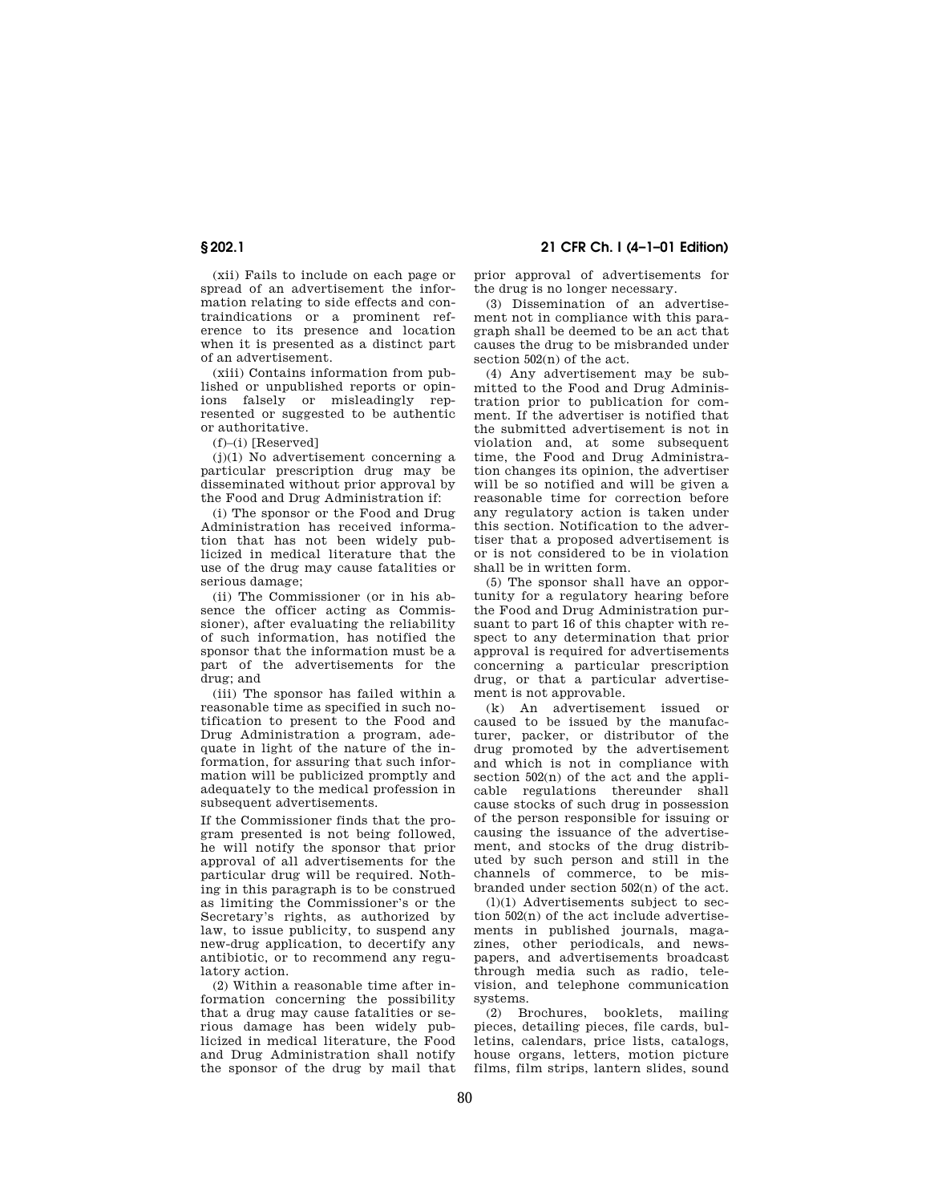(xii) Fails to include on each page or spread of an advertisement the information relating to side effects and contraindications or a prominent reference to its presence and location when it is presented as a distinct part of an advertisement.

(xiii) Contains information from published or unpublished reports or opinions falsely or misleadingly represented or suggested to be authentic or authoritative.

(f)–(i) [Reserved]

(j)(1) No advertisement concerning a particular prescription drug may be disseminated without prior approval by the Food and Drug Administration if:

(i) The sponsor or the Food and Drug Administration has received information that has not been widely publicized in medical literature that the use of the drug may cause fatalities or serious damage;

(ii) The Commissioner (or in his absence the officer acting as Commissioner), after evaluating the reliability of such information, has notified the sponsor that the information must be a part of the advertisements for the drug; and

(iii) The sponsor has failed within a reasonable time as specified in such notification to present to the Food and Drug Administration a program, adequate in light of the nature of the information, for assuring that such information will be publicized promptly and adequately to the medical profession in subsequent advertisements.

If the Commissioner finds that the program presented is not being followed, he will notify the sponsor that prior approval of all advertisements for the particular drug will be required. Nothing in this paragraph is to be construed as limiting the Commissioner's or the Secretary's rights, as authorized by law, to issue publicity, to suspend any new-drug application, to decertify any antibiotic, or to recommend any regulatory action.

(2) Within a reasonable time after information concerning the possibility that a drug may cause fatalities or serious damage has been widely publicized in medical literature, the Food and Drug Administration shall notify the sponsor of the drug by mail that

**§ 202.1 21 CFR Ch. I (4–1–01 Edition)**

prior approval of advertisements for the drug is no longer necessary.

(3) Dissemination of an advertisement not in compliance with this paragraph shall be deemed to be an act that causes the drug to be misbranded under section 502(n) of the act.

(4) Any advertisement may be submitted to the Food and Drug Administration prior to publication for comment. If the advertiser is notified that the submitted advertisement is not in violation and, at some subsequent time, the Food and Drug Administration changes its opinion, the advertiser will be so notified and will be given a reasonable time for correction before any regulatory action is taken under this section. Notification to the advertiser that a proposed advertisement is or is not considered to be in violation shall be in written form.

(5) The sponsor shall have an opportunity for a regulatory hearing before the Food and Drug Administration pursuant to part 16 of this chapter with respect to any determination that prior approval is required for advertisements concerning a particular prescription drug, or that a particular advertisement is not approvable.

(k) An advertisement issued or caused to be issued by the manufacturer, packer, or distributor of the drug promoted by the advertisement and which is not in compliance with section 502(n) of the act and the applicable regulations thereunder shall cause stocks of such drug in possession of the person responsible for issuing or causing the issuance of the advertisement, and stocks of the drug distributed by such person and still in the channels of commerce, to be misbranded under section 502(n) of the act.

 $(l)(1)$  Advertisements subject to section 502(n) of the act include advertisements in published journals, magazines, other periodicals, and newspapers, and advertisements broadcast through media such as radio, television, and telephone communication systems.

(2) Brochures, booklets, mailing pieces, detailing pieces, file cards, bulletins, calendars, price lists, catalogs, house organs, letters, motion picture films, film strips, lantern slides, sound